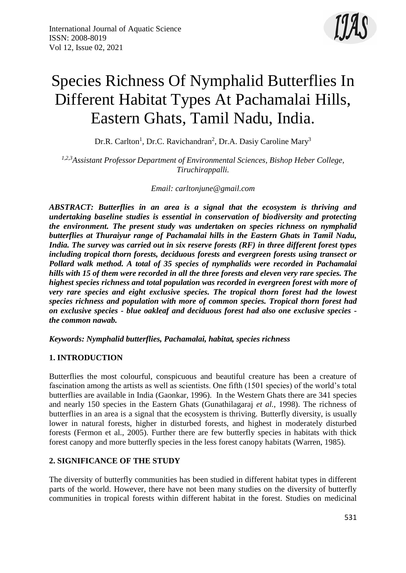

# Species Richness Of Nymphalid Butterflies In Different Habitat Types At Pachamalai Hills, Eastern Ghats, Tamil Nadu, India.

Dr.R. Carlton<sup>1</sup>, Dr.C. Ravichandran<sup>2</sup>, Dr.A. Dasiy Caroline Mary<sup>3</sup>

*1,2,3Assistant Professor Department of Environmental Sciences, Bishop Heber College, Tiruchirappalli.*

*Email: [carltonjune@gmail.com](mailto:carltonjune@gmail.com)*

*ABSTRACT: Butterflies in an area is a signal that the ecosystem is thriving and undertaking baseline studies is essential in conservation of biodiversity and protecting the environment. The present study was undertaken on species richness on nymphalid butterflies at Thuraiyur range of Pachamalai hills in the Eastern Ghats in Tamil Nadu, India. The survey was carried out in six reserve forests (RF) in three different forest types including tropical thorn forests, deciduous forests and evergreen forests using transect or Pollard walk method. A total of 35 species of nymphalids were recorded in Pachamalai hills with 15 of them were recorded in all the three forests and eleven very rare species. The highest species richness and total population was recorded in evergreen forest with more of very rare species and eight exclusive species. The tropical thorn forest had the lowest species richness and population with more of common species. Tropical thorn forest had on exclusive species - blue oakleaf and deciduous forest had also one exclusive species the common nawab.*

*Keywords: Nymphalid butterflies, Pachamalai, habitat, species richness*

# **1. INTRODUCTION**

Butterflies the most colourful, conspicuous and beautiful creature has been a creature of fascination among the artists as well as scientists. One fifth (1501 species) of the world's total butterflies are available in India (Gaonkar, 1996). In the Western Ghats there are 341 species and nearly 150 species in the Eastern Ghats (Gunathilagaraj *et al.,* 1998). The richness of butterflies in an area is a signal that the ecosystem is thriving. Butterfly diversity, is usually lower in natural forests, higher in disturbed forests, and highest in moderately disturbed forests (Fermon et al., 2005). Further there are few butterfly species in habitats with thick forest canopy and more butterfly species in the less forest canopy habitats (Warren, 1985).

# **2. SIGNIFICANCE OF THE STUDY**

The diversity of butterfly communities has been studied in different habitat types in different parts of the world. However, there have not been many studies on the diversity of butterfly communities in tropical forests within different habitat in the forest. Studies on medicinal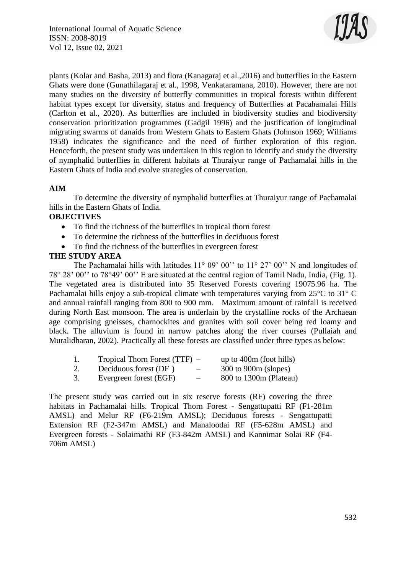

plants (Kolar and Basha, 2013) and flora (Kanagaraj et al.,2016) and butterflies in the Eastern Ghats were done (Gunathilagaraj et al., 1998, Venkataramana, 2010). However, there are not many studies on the diversity of butterfly communities in tropical forests within different habitat types except for diversity, status and frequency of Butterflies at Pacahamalai Hills (Carlton et al., 2020). As butterflies are included in biodiversity studies and biodiversity conservation prioritization programmes (Gadgil 1996) and the justification of longitudinal migrating swarms of danaids from Western Ghats to Eastern Ghats (Johnson 1969; Williams 1958) indicates the significance and the need of further exploration of this region. Henceforth, the present study was undertaken in this region to identify and study the diversity of nymphalid butterflies in different habitats at Thuraiyur range of Pachamalai hills in the Eastern Ghats of India and evolve strategies of conservation.

# **AIM**

To determine the diversity of nymphalid butterflies at Thuraiyur range of Pachamalai hills in the Eastern Ghats of India.

#### **OBJECTIVES**

- To find the richness of the butterflies in tropical thorn forest
- To determine the richness of the butterflies in deciduous forest
- To find the richness of the butterflies in evergreen forest

#### **THE STUDY AREA**

The Pachamalai hills with latitudes 11° 09' 00" to 11° 27' 00" N and longitudes of 78° 28' 00'' to 78°49' 00'' E are situated at the central region of Tamil Nadu, India, (Fig. 1). The vegetated area is distributed into 35 Reserved Forests covering 19075.96 ha. The Pachamalai hills enjoy a sub-tropical climate with temperatures varying from 25°C to 31° C and annual rainfall ranging from 800 to 900 mm. Maximum amount of rainfall is received during North East monsoon. The area is underlain by the crystalline rocks of the Archaean age comprising gneisses, charnockites and granites with soil cover being red loamy and black. The alluvium is found in narrow patches along the river courses (Pullaiah and Muralidharan, 2002). Practically all these forests are classified under three types as below:

|    | Tropical Thorn Forest $(TTF)$ –                    | up to $400m$ (foot hills) |
|----|----------------------------------------------------|---------------------------|
| 2. | Deciduous forest (DF)<br>$\overline{\phantom{0}}$  | $300$ to $900m$ (slopes)  |
| 3. | Evergreen forest (EGF)<br>$\overline{\phantom{0}}$ | 800 to 1300m (Plateau)    |

The present study was carried out in six reserve forests (RF) covering the three habitats in Pachamalai hills. Tropical Thorn Forest - Sengattupatti RF (F1-281m AMSL) and Melur RF (F6-219m AMSL); Deciduous forests - Sengattupatti Extension RF (F2-347m AMSL) and Manaloodai RF (F5-628m AMSL) and Evergreen forests - Solaimathi RF (F3-842m AMSL) and Kannimar Solai RF (F4- 706m AMSL)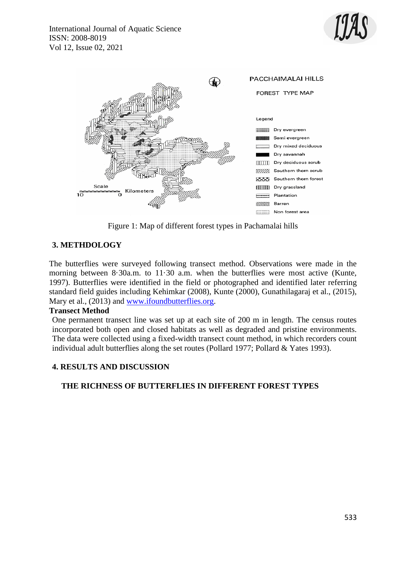



Figure 1: Map of different forest types in Pachamalai hills

# **3. METHDOLOGY**

The butterflies were surveyed following transect method. Observations were made in the morning between  $8.30$ a.m. to  $11.30$  a.m. when the butterflies were most active (Kunte, 1997). Butterflies were identified in the field or photographed and identified later referring standard field guides including Kehimkar (2008), Kunte (2000), Gunathilagaraj et al., (2015), Mary et al., (2013) and [www.ifoundbutterflies.org.](http://www.ifoundbutterflies.org/)

#### **Transect Method**

One permanent transect line was set up at each site of 200 m in length. The census routes incorporated both open and closed habitats as well as degraded and pristine environments. The data were collected using a fixed-width transect count method, in which recorders count individual adult butterflies along the set routes (Pollard 1977; Pollard & Yates 1993).

# **4. RESULTS AND DISCUSSION**

# **THE RICHNESS OF BUTTERFLIES IN DIFFERENT FOREST TYPES**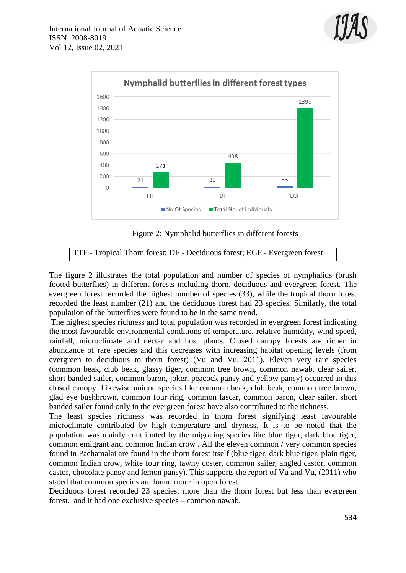



Figure 2: Nymphalid butterflies in different forests

# TTF - Tropical Thorn forest; DF - Deciduous forest; EGF - Evergreen forest

The figure 2 illustrates the total population and number of species of nymphalids (brush footed butterflies) in different forests including thorn, deciduous and evergreen forest. The evergreen forest recorded the highest number of species (33), while the tropical thorn forest recorded the least number (21) and the deciduous forest had 23 species. Similarly, the total population of the butterflies were found to be in the same trend.

The highest species richness and total population was recorded in evergreen forest indicating the most favourable environmental conditions of temperature, relative humidity, wind speed, rainfall, microclimate and nectar and host plants. Closed canopy forests are richer in abundance of rare species and this decreases with increasing habitat opening levels (from evergreen to deciduous to thorn forest) (Vu and Vu, 2011). Eleven very rare species (common beak, club beak, glassy tiger, common tree brown, common nawab, clear sailer, short banded sailer, common baron, joker, peacock pansy and yellow pansy) occurred in this closed canopy. Likewise unique species like common beak, club beak, common tree brown, glad eye bushbrown, common four ring, common lascar, common baron, clear sailer, short banded sailer found only in the evergreen forest have also contributed to the richness.

The least species richness was recorded in thorn forest signifying least favourable microclimate contributed by high temperature and dryness. It is to be noted that the population was mainly contributed by the migrating species like blue tiger, dark blue tiger, common emigrant and common Indian crow . All the eleven common / very common species found in Pachamalai are found in the thorn forest itself (blue tiger, dark blue tiger, plain tiger, common Indian crow, white four ring, tawny coster, common sailer, angled castor, common castor, chocolate pansy and lemon pansy). This supports the report of Vu and Vu, (2011) who stated that common species are found more in open forest.

Deciduous forest recorded 23 species; more than the thorn forest but less than evergreen forest. and it had one exclusive species – common nawab.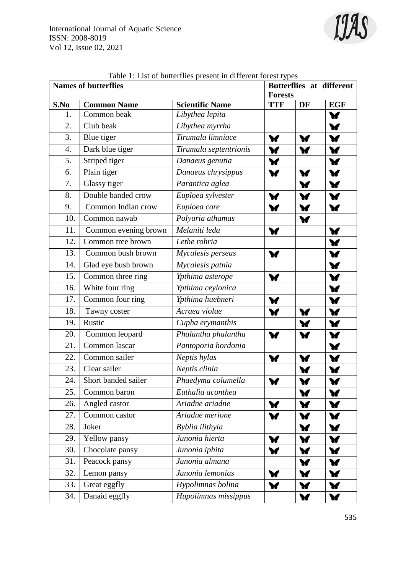

|      | <b>Names of butterflies</b> | <b>Butterflies at different</b> |                                                  |                      |                      |
|------|-----------------------------|---------------------------------|--------------------------------------------------|----------------------|----------------------|
| S.No | <b>Common Name</b>          | <b>Scientific Name</b>          | <b>Forests</b><br><b>TTF</b><br><b>EGF</b><br>DF |                      |                      |
| 1.   | Common beak                 | Libythea lepita                 |                                                  |                      | $\mathbf{v}$         |
| 2.   | Club beak                   | Libythea myrrha                 |                                                  |                      | $\mathbf{v}$         |
| 3.   | Blue tiger                  | Tirumala limniace               | $\mathbf{v}$                                     | $\blacktriangledown$ | $\mathbf{v}$         |
| 4.   | Dark blue tiger             | Tirumala septentrionis          | Y                                                | ¥                    | $\blacktriangledown$ |
| 5.   | Striped tiger               | Danaeus genutia                 | $\blacktriangledown$                             |                      | $\mathbf{v}$         |
| 6.   | Plain tiger                 | Danaeus chrysippus              | $\blacktriangledown$                             | $\blacktriangledown$ | $\mathbf{v}$         |
| 7.   | Glassy tiger                | Parantica aglea                 |                                                  | $\mathbf{v}$         | $\mathbf{v}$         |
| 8.   | Double banded crow          | Euploea sylvester               | $\blacktriangledown$                             | $\blacktriangledown$ | $\mathbf{v}$         |
| 9.   | Common Indian crow          | Euploea core                    | Y                                                | $\mathbf{v}$         | $\blacktriangledown$ |
| 10.  | Common nawab                | Polyuria athamas                |                                                  | $\blacktriangledown$ |                      |
| 11.  | Common evening brown        | Melaniti leda                   | Y                                                |                      | $\blacktriangledown$ |
| 12.  | Common tree brown           | Lethe rohria                    |                                                  |                      | $\mathbf{v}$         |
| 13.  | Common bush brown           | Mycalesis perseus               | $\blacktriangledown$                             |                      | $\blacktriangledown$ |
| 14.  | Glad eye bush brown         | Mycalesis patnia                |                                                  |                      | $\blacktriangledown$ |
| 15.  | Common three ring           | Ypthima asterope                | $\blacktriangledown$                             |                      | $\mathbf{v}$         |
| 16.  | White four ring             | Ypthima ceylonica               |                                                  |                      | $\blacktriangledown$ |
| 17.  | Common four ring            | Ypthima huebneri                | $\blacktriangledown$                             |                      | W                    |
| 18.  | Tawny coster                | Acraea violae                   | ¥                                                | V                    | $\mathbf{v}$         |
| 19.  | Rustic                      | Cupha erymanthis                |                                                  | V                    | $\mathbf{v}$         |
| 20.  | Common leopard              | Phalantha phalantha             | $\blacktriangledown$                             | W                    | $\mathbf{v}$         |
| 21.  | Common lascar               | Pantoporia hordonia             |                                                  |                      | $\blacktriangledown$ |
| 22.  | Common sailer               | Neptis hylas                    | Y                                                | V                    | $\blacktriangledown$ |
| 23.  | Clear sailer                | Neptis clinia                   |                                                  | Y                    | $\blacktriangledown$ |
| 24.  | Short banded sailer         | Phaedyma columella              | V                                                | W                    | $\blacktriangledown$ |
| 25.  | Common baron                | Euthalia aconthea               |                                                  | W                    | W                    |
| 26.  | Angled castor               | Ariadne ariadne                 | ¥                                                | ¥                    | V                    |
| 27.  | Common castor               | Ariadne merione                 | Y                                                | <b>W</b>             | Y                    |
| 28.  | Joker                       | Byblia ilithyia                 |                                                  | V                    | V                    |
| 29.  | Yellow pansy                | Junonia hierta                  | $\blacktriangledown$                             | ¥                    | $\blacktriangledown$ |
| 30.  | Chocolate pansy             | Junonia iphita                  | Y                                                | $\blacktriangledown$ | $\mathbf{v}$         |
| 31.  | Peacock pansy               | Junonia almana                  |                                                  | V                    | $\mathbf{v}$         |
| 32.  | Lemon pansy                 | Junonia lemonias                | ¥                                                | Y                    | Y                    |
| 33.  | Great eggfly                | Hypolimnas bolina               | $\mathbf{v}$                                     | $\blacktriangledown$ | $\mathbf{v}$         |
| 34.  | Danaid eggfly               | Hupolimnas missippus            |                                                  | $\blacktriangledown$ | $\blacktriangledown$ |

|  | Table 1: List of butterflies present in different forest types |
|--|----------------------------------------------------------------|
|--|----------------------------------------------------------------|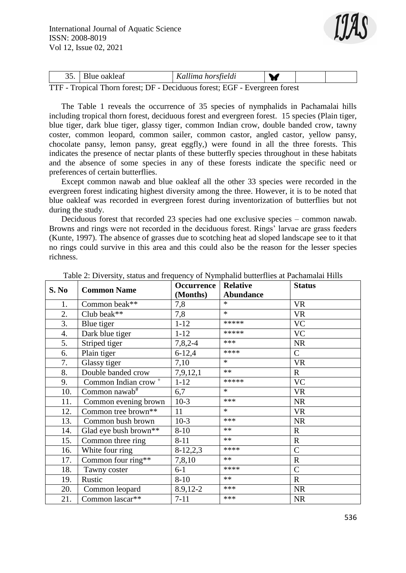

|    | <u>-</u> | Blue oakleaf |   |  | Kallima horsfieldi |   |  |  |  |
|----|----------|--------------|---|--|--------------------|---|--|--|--|
| mm |          | ורדי ו       | . |  |                    | . |  |  |  |

TTF - Tropical Thorn forest; DF - Deciduous forest; EGF - Evergreen forest

The Table 1 reveals the occurrence of 35 species of nymphalids in Pachamalai hills including tropical thorn forest, deciduous forest and evergreen forest. 15 species (Plain tiger, blue tiger, dark blue tiger, glassy tiger, common Indian crow, double banded crow, tawny coster, common leopard, common sailer, common castor, angled castor, yellow pansy, chocolate pansy, lemon pansy, great eggfly,) were found in all the three forests. This indicates the presence of nectar plants of these butterfly species throughout in these habitats and the absence of some species in any of these forests indicate the specific need or preferences of certain butterflies.

Except common nawab and blue oakleaf all the other 33 species were recorded in the evergreen forest indicating highest diversity among the three. However, it is to be noted that blue oakleaf was recorded in evergreen forest during inventorization of butterflies but not during the study.

Deciduous forest that recorded 23 species had one exclusive species – common nawab. Browns and rings were not recorded in the deciduous forest. Rings' larvae are grass feeders (Kunte, 1997). The absence of grasses due to scotching heat ad sloped landscape see to it that no rings could survive in this area and this could also be the reason for the lesser species richness.

| S. No | <b>Common Name</b>              | Occurrence | <b>Relative</b>  | <b>Status</b>  |
|-------|---------------------------------|------------|------------------|----------------|
|       |                                 | (Months)   | <b>Abundance</b> |                |
| 1.    | Common beak**                   | 7,8        | $\ast$           | <b>VR</b>      |
| 2.    | Club beak**                     | 7,8        | $\ast$           | <b>VR</b>      |
| 3.    | Blue tiger                      | $1 - 12$   | *****            | <b>VC</b>      |
| 4.    | Dark blue tiger                 | $1 - 12$   | *****            | <b>VC</b>      |
| 5.    | Striped tiger                   | $7,8,2-4$  | ***              | <b>NR</b>      |
| 6.    | Plain tiger                     | $6 - 12,4$ | ****             | $\mathcal{C}$  |
| 7.    | Glassy tiger                    | 7,10       | $\ast$           | <b>VR</b>      |
| 8.    | Double banded crow              | 7,9,12,1   | $**$             | $\mathbf R$    |
| 9.    | Common Indian crow <sup>+</sup> | $1 - 12$   | *****            | <b>VC</b>      |
| 10.   | Common nawab <sup>#</sup>       | 6,7        | $\ast$           | <b>VR</b>      |
| 11.   | Common evening brown            | $10-3$     | ***              | <b>NR</b>      |
| 12.   | Common tree brown**             | 11         | $\ast$           | <b>VR</b>      |
| 13.   | Common bush brown               | $10-3$     | ***              | <b>NR</b>      |
| 14.   | Glad eye bush brown**           | $8 - 10$   | $**$             | $\mathbf R$    |
| 15.   | Common three ring               | $8 - 11$   | $**$             | $\mathbf R$    |
| 16.   | White four ring                 | $8-12,2,3$ | ****             | $\mathcal{C}$  |
| 17.   | Common four ring**              | 7,8,10     | $**$             | ${\bf R}$      |
| 18.   | Tawny coster                    | $6-1$      | ****             | $\overline{C}$ |
| 19.   | Rustic                          | $8 - 10$   | $***$            | $\mathbf R$    |
| 20.   | Common leopard                  | 8.9,12-2   | ***              | <b>NR</b>      |
| 21.   | Common lascar**                 | $7 - 11$   | ***              | <b>NR</b>      |

Table 2: Diversity, status and frequency of Nymphalid butterflies at Pachamalai Hills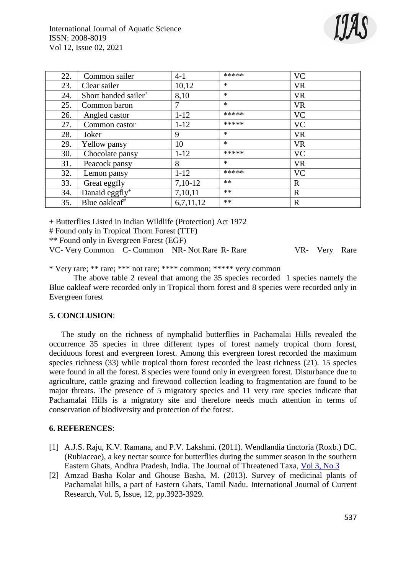

| 22. | Common sailer                    | $4 - 1$   | *****  | <b>VC</b>   |
|-----|----------------------------------|-----------|--------|-------------|
| 23. | Clear sailer                     | 10,12     | $\ast$ | <b>VR</b>   |
| 24. | Short banded sailer <sup>+</sup> | 8,10      | $\ast$ | <b>VR</b>   |
| 25. | Common baron                     | 7         | $\ast$ | <b>VR</b>   |
| 26. | Angled castor                    | $1 - 12$  | *****  | <b>VC</b>   |
| 27. | Common castor                    | $1 - 12$  | *****  | <b>VC</b>   |
| 28. | Joker                            | 9         | $\ast$ | <b>VR</b>   |
| 29. | Yellow pansy                     | 10        | $\ast$ | <b>VR</b>   |
| 30. | Chocolate pansy                  | $1 - 12$  | *****  | <b>VC</b>   |
| 31. | Peacock pansy                    | 8         | $\ast$ | <b>VR</b>   |
| 32. | Lemon pansy                      | $1 - 12$  | *****  | <b>VC</b>   |
| 33. | Great eggfly                     | $7,10-12$ | $**$   | $\mathbf R$ |
| 34. | Danaid eggfly <sup>+</sup>       | 7,10,11   | $**$   | $\mathbf R$ |
| 35. | Blue oakleaf <sup>#</sup>        | 6,7,11,12 | $***$  | $\mathbf R$ |

+ Butterflies Listed in Indian Wildlife (Protection) Act 1972

# Found only in Tropical Thorn Forest (TTF)

\*\* Found only in Evergreen Forest (EGF)

VC- Very Common C- Common NR- Not Rare R- Rare VR- Very Rare

\* Very rare; \*\* rare; \*\*\* not rare; \*\*\*\* common; \*\*\*\*\* very common

The above table 2 reveal that among the 35 species recorded 1 species namely the Blue oakleaf were recorded only in Tropical thorn forest and 8 species were recorded only in Evergreen forest

#### **5. CONCLUSION**:

The study on the richness of nymphalid butterflies in Pachamalai Hills revealed the occurrence 35 species in three different types of forest namely tropical thorn forest, deciduous forest and evergreen forest. Among this evergreen forest recorded the maximum species richness (33) while tropical thorn forest recorded the least richness (21). 15 species were found in all the forest. 8 species were found only in evergreen forest. Disturbance due to agriculture, cattle grazing and firewood collection leading to fragmentation are found to be major threats. The presence of 5 migratory species and 11 very rare species indicate that Pachamalai Hills is a migratory site and therefore needs much attention in terms of conservation of biodiversity and protection of the forest.

#### **6. REFERENCES**:

- [1] A.J.S. Raju, K.V. Ramana, and P.V. Lakshmi. (2011). Wendlandia tinctoria (Roxb.) DC. (Rubiaceae), a key nectar source for butterflies during the summer season in the southern Eastern Ghats, Andhra Pradesh, India. The Journal of Threatened Taxa, [Vol 3, No 3](http://threatenedtaxa.org/index.php/JoTT/issue/view/161)
- [2] Amzad Basha Kolar and Ghouse Basha, M. (2013). Survey of medicinal plants of Pachamalai hills, a part of Eastern Ghats, Tamil Nadu. International Journal of Current Research, Vol. 5, Issue, 12, pp.3923-3929.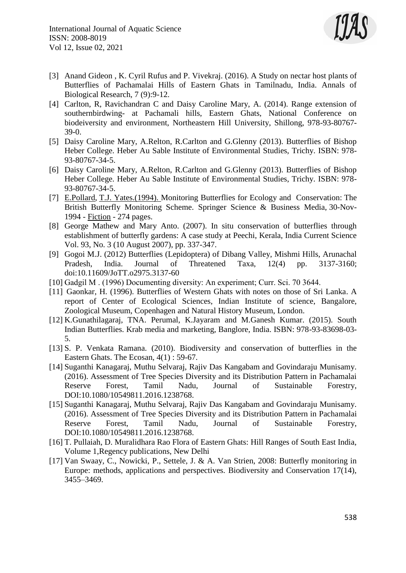

- [3] Anand Gideon , K. Cyril Rufus and P. Vivekraj. (2016). A Study on nectar host plants of Butterflies of Pachamalai Hills of Eastern Ghats in Tamilnadu, India. Annals of Biological Research, 7 (9):9-12.
- [4] Carlton, R, Ravichandran C and Daisy Caroline Mary, A. (2014). Range extension of southernbirdwing- at Pachamali hills, Eastern Ghats, National Conference on biodeiversity and environment, Northeastern Hill University, Shillong, 978-93-80767- 39-0.
- [5] Daisy Caroline Mary, A.Relton, R.Carlton and G.Glenny (2013). Butterflies of Bishop Heber College. Heber Au Sable Institute of Environmental Studies, Trichy. ISBN: 978- 93-80767-34-5.
- [6] Daisy Caroline Mary, A.Relton, R.Carlton and G.Glenny (2013). Butterflies of Bishop Heber College. Heber Au Sable Institute of Environmental Studies, Trichy. ISBN: 978- 93-80767-34-5.
- [7] [E.Pollard,](https://www.google.co.in/search?tbo=p&tbm=bks&q=inauthor:%22E.+Pollard%22) [T.J. Yates.](https://www.google.co.in/search?tbo=p&tbm=bks&q=inauthor:%22T.J.+Yates%22)(1994). Monitoring Butterflies for Ecology and Conservation: The British Butterfly Monitoring Scheme. Springer Science & Business Media, 30-Nov-1994 - [Fiction](https://www.google.co.in/search?tbo=p&tbm=bks&q=subject:%22Fiction%22&source=gbs_ge_summary_r&cad=0) - 274 pages.
- [8] George Mathew and Mary Anto. (2007). In situ conservation of butterflies through establishment of butterfly gardens: A case study at Peechi, Kerala, India Current Science Vol. 93, No. 3 (10 August 2007), pp. 337-347.
- [9] Gogoi M.J. (2012) Butterflies (Lepidoptera) of Dibang Valley, Mishmi Hills, Arunachal Pradesh, India. Journal of Threatened Taxa, 12(4) pp. 3137-3160; doi:10.11609/JoTT.o2975.3137-60
- [10] Gadgil M . (1996) Documenting diversity: An experiment; Curr. Sci. 70 3644.
- [11] Gaonkar, H. (1996). Butterflies of Western Ghats with notes on those of Sri Lanka. A report of Center of Ecological Sciences, Indian Institute of science, Bangalore, Zoological Museum, Copenhagen and Natural History Museum, London.
- [12] K.Gunathilagaraj, TNA. Perumal, K.Jayaram and M.Ganesh Kumar. (2015). South Indian Butterflies. Krab media and marketing, Banglore, India. ISBN: 978-93-83698-03- 5.
- [13] S. P. Venkata Ramana. (2010). Biodiversity and conservation of butterflies in the Eastern Ghats. The Ecosan, 4(1) : 59-67.
- [14] Suganthi Kanagaraj, Muthu Selvaraj, Rajiv Das Kangabam and Govindaraju Munisamy. (2016). Assessment of Tree Species Diversity and its Distribution Pattern in Pachamalai Reserve Forest, Tamil Nadu, Journal of Sustainable Forestry, DOI:10.1080/10549811.2016.1238768.
- [15] Suganthi Kanagaraj, Muthu Selvaraj, Rajiv Das Kangabam and Govindaraju Munisamy. (2016). Assessment of Tree Species Diversity and its Distribution Pattern in Pachamalai Reserve Forest, Tamil Nadu, Journal of Sustainable Forestry, DOI:10.1080/10549811.2016.1238768.
- [16] T. Pullaiah, D. Muralidhara Rao Flora of Eastern Ghats: Hill Ranges of South East India, Volume 1,Regency publications, New Delhi
- [17] Van Swaay, C., Nowicki, P., Settele, J. & A. Van Strien, 2008: Butterfly monitoring in Europe: methods, applications and perspectives. Biodiversity and Conservation 17(14), 3455–3469.